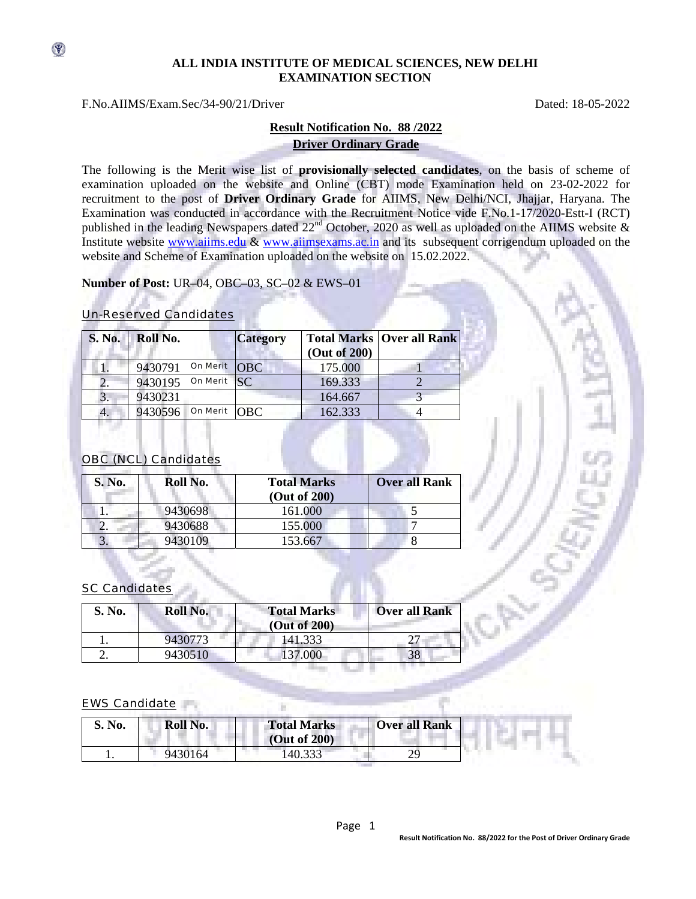### **ALL INDIA INSTITUTE OF MEDICAL SCIENCES, NEW DELHI EXAMINATION SECTION**

### F.No.AIIMS/Exam.Sec/34-90/21/Driver Dated: 18-05-2022

 $\circledast$ 

## **Result Notification No. 88 /2022 Driver Ordinary Grade**

The following is the Merit wise list of **provisionally selected candidates**, on the basis of scheme of examination uploaded on the website and Online (CBT) mode Examination held on 23-02-2022 for recruitment to the post of **Driver Ordinary Grade** for AIIMS, New Delhi/NCI, Jhajjar, Haryana. The Examination was conducted in accordance with the Recruitment Notice vide F.No.1-17/2020-Estt-I (RCT) published in the leading Newspapers dated 22<sup>nd</sup> October, 2020 as well as uploaded on the AIIMS website & Institute website www.aiims.edu & www.aiimsexams.ac.in and its subsequent corrigendum uploaded on the website and Scheme of Examination uploaded on the website on 15.02.2022.

**Number of Post:** UR–04, OBC–03, SC–02 & EWS–01

#### Un-Reserved Candidates

| <b>S. No.</b> | Roll No. |                 | <b>Category</b> | (Out of 200) | <b>Total Marks   Over all Rank</b> |
|---------------|----------|-----------------|-----------------|--------------|------------------------------------|
|               | 9430791  | On Merit        | [OBC]           | 175.000      |                                    |
| 2.            | 9430195  | On Merit $SC$   |                 | 169.333      |                                    |
| 3.            | 9430231  |                 |                 | 164.667      |                                    |
| 4.            | 9430596  | <b>On Merit</b> | <b>OBC</b>      | 162.333      |                                    |

# OBC (NCL) Candidates

| S. No. | Roll No. | <b>Total Marks</b><br>(Out of 200) | <b>Over all Rank</b> |
|--------|----------|------------------------------------|----------------------|
|        | 9430698  | 161.000                            |                      |
|        | 9430688  | 155.000                            |                      |
| .כ     | 9430109  | 153.667                            |                      |

## SC Candidates

| S. No. | Roll No. | <b>Total Marks</b><br>(Out of 200) | <b>Over all Rank</b> |
|--------|----------|------------------------------------|----------------------|
|        | 9430773  | 141.333                            |                      |
|        | 9430510  | 137.000                            | 38                   |

#### EWS Candidate

| S. No. | Roll No. | <b>Total Marks</b><br>(Out of 200) | <b>Over all Rank</b> |  |
|--------|----------|------------------------------------|----------------------|--|
|        | 9430164  | 140.333                            | 29                   |  |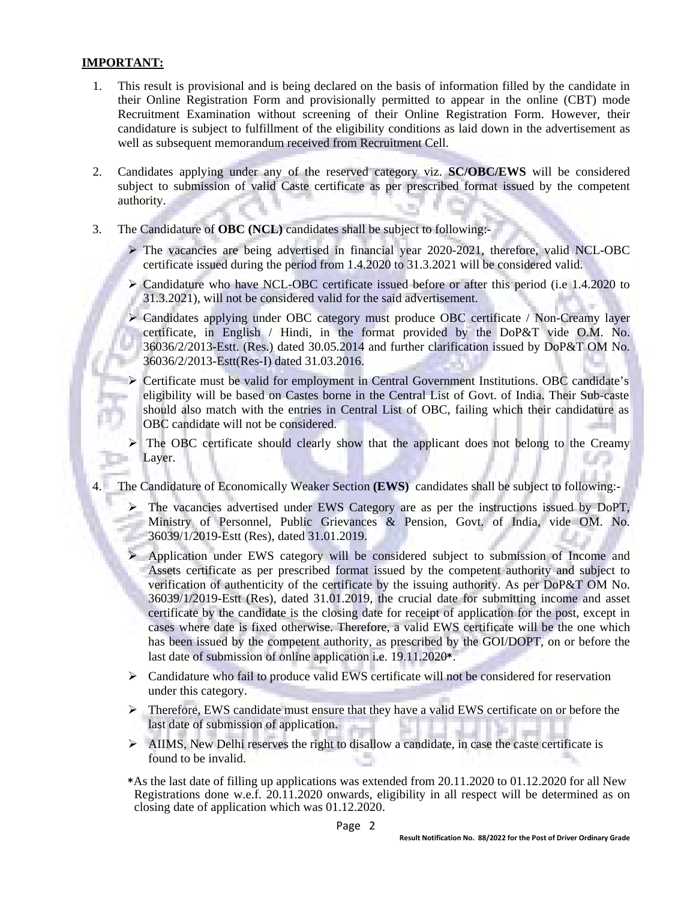## **IMPORTANT:**

- 1. This result is provisional and is being declared on the basis of information filled by the candidate in their Online Registration Form and provisionally permitted to appear in the online (CBT) mode Recruitment Examination without screening of their Online Registration Form. However, their candidature is subject to fulfillment of the eligibility conditions as laid down in the advertisement as well as subsequent memorandum received from Recruitment Cell.
- 2. Candidates applying under any of the reserved category viz. **SC/OBC/EWS** will be considered subject to submission of valid Caste certificate as per prescribed format issued by the competent authority.
- 3. The Candidature of **OBC (NCL)** candidates shall be subject to following:-
	- $\triangleright$  The vacancies are being advertised in financial year 2020-2021, therefore, valid NCL-OBC certificate issued during the period from 1.4.2020 to 31.3.2021 will be considered valid.
	- $\triangleright$  Candidature who have NCL-OBC certificate issued before or after this period (i.e 1.4.2020 to 31.3.2021), will not be considered valid for the said advertisement.
	- ¾ Candidates applying under OBC category must produce OBC certificate / Non-Creamy layer certificate, in English / Hindi, in the format provided by the DoP&T vide O.M. No. 36036/2/2013-Estt. (Res.) dated 30.05.2014 and further clarification issued by DoP&T OM No. 36036/2/2013-Estt(Res-I) dated 31.03.2016.
	- ¾ Certificate must be valid for employment in Central Government Institutions. OBC candidate's eligibility will be based on Castes borne in the Central List of Govt. of India. Their Sub-caste should also match with the entries in Central List of OBC, failing which their candidature as OBC candidate will not be considered.
	- The OBC certificate should clearly show that the applicant does not belong to the Creamy Layer.
- The Candidature of Economically Weaker Section (EWS) candidates shall be subject to following:-
	- ¾ The vacancies advertised under EWS Category are as per the instructions issued by DoPT, Ministry of Personnel, Public Grievances & Pension, Govt. of India, vide OM. No. 36039/1/2019-Estt (Res), dated 31.01.2019.
	- ¾ Application under EWS category will be considered subject to submission of Income and Assets certificate as per prescribed format issued by the competent authority and subject to verification of authenticity of the certificate by the issuing authority. As per DoP&T OM No. 36039/1/2019-Estt (Res), dated 31.01.2019, the crucial date for submitting income and asset certificate by the candidate is the closing date for receipt of application for the post, except in cases where date is fixed otherwise. Therefore, a valid EWS certificate will be the one which has been issued by the competent authority, as prescribed by the GOI/DOPT, on or before the last date of submission of online application i.e. 19.11.2020\*.
	- $\triangleright$  Candidature who fail to produce valid EWS certificate will not be considered for reservation under this category.
	- ¾ Therefore, EWS candidate must ensure that they have a valid EWS certificate on or before the last date of submission of application.
	- $\triangleright$  AIIMS, New Delhi reserves the right to disallow a candidate, in case the caste certificate is found to be invalid.
	- \*As the last date of filling up applications was extended from 20.11.2020 to 01.12.2020 for all New Registrations done w.e.f. 20.11.2020 onwards, eligibility in all respect will be determined as on closing date of application which was 01.12.2020.